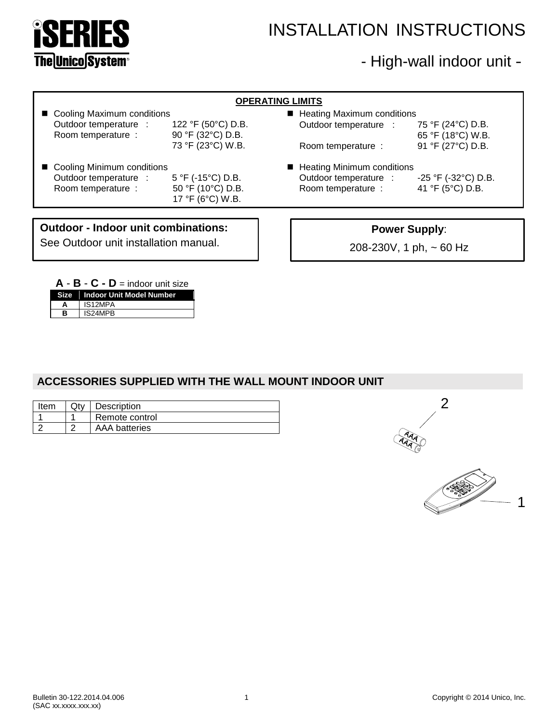

# INSTALLATION INSTRUCTIONS

# - High-wall indoor unit -

| <b>OPERATING LIMITS</b>             |                    |                              |                                                                                  |  |  |
|-------------------------------------|--------------------|------------------------------|----------------------------------------------------------------------------------|--|--|
| ■ Cooling Maximum conditions        |                    | ■ Heating Maximum conditions |                                                                                  |  |  |
| Outdoor temperature :               | 122 °F (50°C) D.B. | Outdoor temperature :        | 75 °F (24°C) D.B.                                                                |  |  |
| Room temperature :                  | 90 °F (32°C) D.B.  |                              | 65 °F (18°C) W.B.                                                                |  |  |
|                                     | 73 °F (23°C) W.B.  | Room temperature :           | 91 °F (27°C) D.B.                                                                |  |  |
| ■ Cooling Minimum conditions        |                    | ■ Heating Minimum conditions |                                                                                  |  |  |
| Outdoor temperature :               | 5 °F (-15°C) D.B.  | Outdoor temperature :        | $-25$ °F ( $-32$ °C) D.B.                                                        |  |  |
| Room temperature :                  | 50 °F (10°C) D.B.  | Room temperature :           | 41 °F (5°C) D.B.                                                                 |  |  |
|                                     | 17 °F (6°C) W.B.   |                              |                                                                                  |  |  |
|                                     |                    |                              |                                                                                  |  |  |
| Outdoor - Indoor unit combinations: |                    |                              | $\mathbf{B}$ and $\mathbf{A}$ and $\mathbf{B}$ and $\mathbf{B}$ and $\mathbf{B}$ |  |  |

**Outdoor - Indoor unit combinations:** See Outdoor unit installation manual.

| <b>Power Supply:</b> |  |  |
|----------------------|--|--|
|----------------------|--|--|

208-230V, 1 ph, ~ 60 Hz

| $A - B - C - D =$ indoor unit size |                                 |  |  |
|------------------------------------|---------------------------------|--|--|
|                                    | Size   Indoor Unit Model Number |  |  |
| А                                  | IS12MPA                         |  |  |
| в                                  | IS24MPB                         |  |  |

## **ACCESSORIES SUPPLIED WITH THE WALL MOUNT INDOOR UNIT**

| Item | Description          |
|------|----------------------|
|      | Remote control       |
|      | <b>AAA</b> batteries |



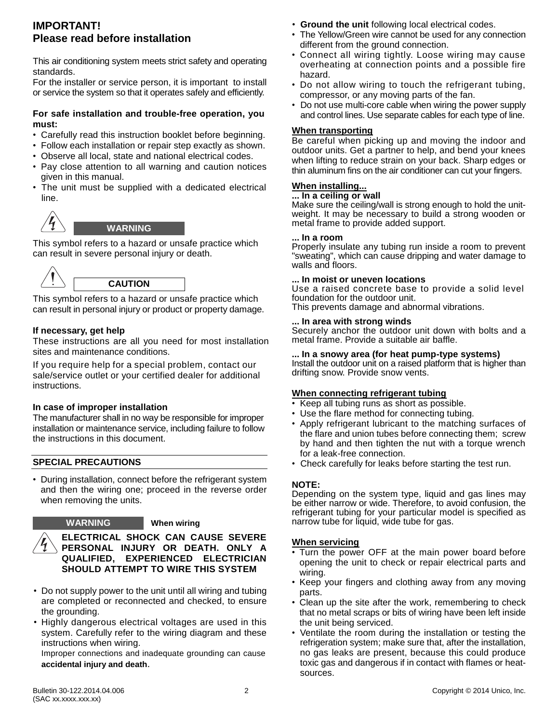## **IMPORTANT! Please read before installation**

This air conditioning system meets strict safety and operating standards.

For the installer or service person, it is important to install or service the system so that it operates safely and efficiently.

#### **For safe installation and trouble-free operation, you must:**

- Carefully read this instruction booklet before beginning.
- Follow each installation or repair step exactly as shown.
- Observe all local, state and national electrical codes.
- Pay close attention to all warning and caution notices given in this manual.
- The unit must be supplied with a dedicated electrical line.



### **WARNING**

This symbol refers to a hazard or unsafe practice which can result in severe personal injury or death.



This symbol refers to a hazard or unsafe practice which can result in personal injury or product or property damage.

#### **If necessary, get help**

These instructions are all you need for most installation sites and maintenance conditions.

If you require help for a special problem, contact our sale/service outlet or your certified dealer for additional instructions.

#### **In case of improper installation**

The manufacturer shall in no way be responsible for improper installation or maintenance service, including failure to follow the instructions in this document.

#### **SPECIAL PRECAUTIONS**

• During installation, connect before the refrigerant system and then the wiring one; proceed in the reverse order when removing the units.

#### **WARNING When wiring**

**ELECTRICAL SHOCK CAN CAUSE SEVERE PERSONAL INJURY OR DEATH. ONLY A QUALIFIED, EXPERIENCED ELECTRICIAN SHOULD ATTEMPT TO WIRE THIS SYSTEM**

- Do not supply power to the unit until all wiring and tubing are completed or reconnected and checked, to ensure the grounding.
- Highly dangerous electrical voltages are used in this system. Carefully refer to the wiring diagram and these instructions when wiring.

Improper connections and inadequate grounding can cause **accidental injury and death**.

- **Ground the unit** following local electrical codes.
- The Yellow/Green wire cannot be used for any connection different from the ground connection.
- Connect all wiring tightly. Loose wiring may cause overheating at connection points and a possible fire hazard.
- Do not allow wiring to touch the refrigerant tubing, compressor, or any moving parts of the fan.
- Do not use multi-core cable when wiring the power supply and control lines. Use separate cables for each type of line.

#### **When transporting**

Be careful when picking up and moving the indoor and outdoor units. Get a partner to help, and bend your knees when lifting to reduce strain on your back. Sharp edges or thin aluminum fins on the air conditioner can cut your fingers.

#### **When installing...**

#### **... In a ceiling or wall**

Make sure the ceiling/wall is strong enough to hold the unitweight. It may be necessary to build a strong wooden or metal frame to provide added support.

#### **... In a room**

Properly insulate any tubing run inside a room to prevent "sweating", which can cause dripping and water damage to walls and floors.

#### **... In moist or uneven locations**

Use a raised concrete base to provide a solid level foundation for the outdoor unit.

This prevents damage and abnormal vibrations.

#### **... In area with strong winds**

Securely anchor the outdoor unit down with bolts and a metal frame. Provide a suitable air baffle.

#### **... In a snowy area (for heat pump-type systems)**

Install the outdoor unit on a raised platform that is higher than drifting snow. Provide snow vents.

#### **When connecting refrigerant tubing**

- Keep all tubing runs as short as possible.
- Use the flare method for connecting tubing.
- Apply refrigerant lubricant to the matching surfaces of the flare and union tubes before connecting them; screw by hand and then tighten the nut with a torque wrench for a leak-free connection.
- Check carefully for leaks before starting the test run.

#### **NOTE:**

Depending on the system type, liquid and gas lines may be either narrow or wide. Therefore, to avoid confusion, the refrigerant tubing for your particular model is specified as narrow tube for liquid, wide tube for gas.

#### **When servicing**

- Turn the power OFF at the main power board before opening the unit to check or repair electrical parts and wiring.
- Keep your fingers and clothing away from any moving parts.
- Clean up the site after the work, remembering to check that no metal scraps or bits of wiring have been left inside the unit being serviced.
- Ventilate the room during the installation or testing the refrigeration system; make sure that, after the installation, no gas leaks are present, because this could produce toxic gas and dangerous if in contact with flames or heatsources.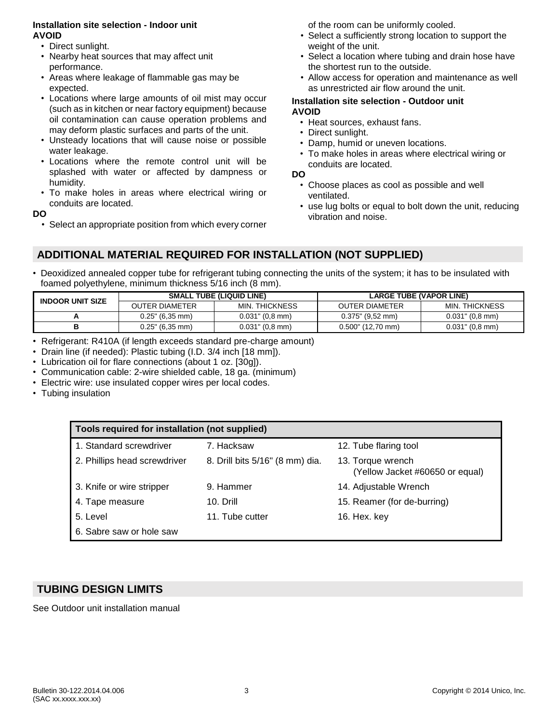#### **Installation site selection - Indoor unit AVOID**

- Direct sunlight.
- Nearby heat sources that may affect unit performance.
- Areas where leakage of flammable gas may be expected.
- Locations where large amounts of oil mist may occur (such as in kitchen or near factory equipment) because oil contamination can cause operation problems and may deform plastic surfaces and parts of the unit.
- Unsteady locations that will cause noise or possible water leakage.
- Locations where the remote control unit will be splashed with water or affected by dampness or humidity.
- To make holes in areas where electrical wiring or conduits are located.

**DO**

• Select an appropriate position from which every corner

of the room can be uniformly cooled.

- Select a sufficiently strong location to support the weight of the unit.
- Select a location where tubing and drain hose have the shortest run to the outside.
- Allow access for operation and maintenance as well as unrestricted air flow around the unit.

#### **Installation site selection - Outdoor unit AVOID**

- Heat sources, exhaust fans.
- Direct sunlight.
- Damp, humid or uneven locations.
- To make holes in areas where electrical wiring or conduits are located.

**DO**

- Choose places as cool as possible and well ventilated.
- use lug bolts or equal to bolt down the unit, reducing vibration and noise.

## **ADDITIONAL MATERIAL REQUIRED FOR INSTALLATION (NOT SUPPLIED)**

• Deoxidized annealed copper tube for refrigerant tubing connecting the units of the system; it has to be insulated with foamed polyethylene, minimum thickness 5/16 inch (8 mm).

| <b>INDOOR UNIT SIZE</b> |                       | <b>SMALL TUBE (LIQUID LINE)</b> | <b>LARGE TUBE (VAPOR LINE)</b> |                       |  |
|-------------------------|-----------------------|---------------------------------|--------------------------------|-----------------------|--|
|                         | <b>OUTER DIAMETER</b> | MIN. THICKNESS                  | <b>OUTER DIAMETER</b>          | <b>MIN. THICKNESS</b> |  |
|                         | $0.25$ " (6,35 mm)    | $0.031$ " $(0.8$ mm)            | $0.375$ " (9,52 mm)            | $0.031$ " $(0.8$ mm)  |  |
|                         | $0.25$ " (6,35 mm)    | $0.031$ " $(0, 8 \text{ mm})$   | $0.500$ " (12,70 mm)           | $0.031$ " (0,8 mm)    |  |

- Refrigerant: R410A (if length exceeds standard pre-charge amount)
- Drain line (if needed): Plastic tubing (I.D. 3/4 inch [18 mm]).
- Lubrication oil for flare connections (about 1 oz. [30g]).
- Communication cable: 2-wire shielded cable, 18 ga. (minimum)
- Electric wire: use insulated copper wires per local codes.
- Tubing insulation

| Tools required for installation (not supplied) |                                 |                                                      |  |  |
|------------------------------------------------|---------------------------------|------------------------------------------------------|--|--|
| 1. Standard screwdriver                        | 7. Hacksaw                      | 12. Tube flaring tool                                |  |  |
| 2. Phillips head screwdriver                   | 8. Drill bits 5/16" (8 mm) dia. | 13. Torque wrench<br>(Yellow Jacket #60650 or equal) |  |  |
| 3. Knife or wire stripper                      | 9. Hammer                       | 14. Adjustable Wrench                                |  |  |
| 4. Tape measure                                | 10. Drill                       | 15. Reamer (for de-burring)                          |  |  |
| 5. Level                                       | 11. Tube cutter                 | 16. Hex. key                                         |  |  |
| 6. Sabre saw or hole saw                       |                                 |                                                      |  |  |

## **TUBING DESIGN LIMITS**

See Outdoor unit installation manual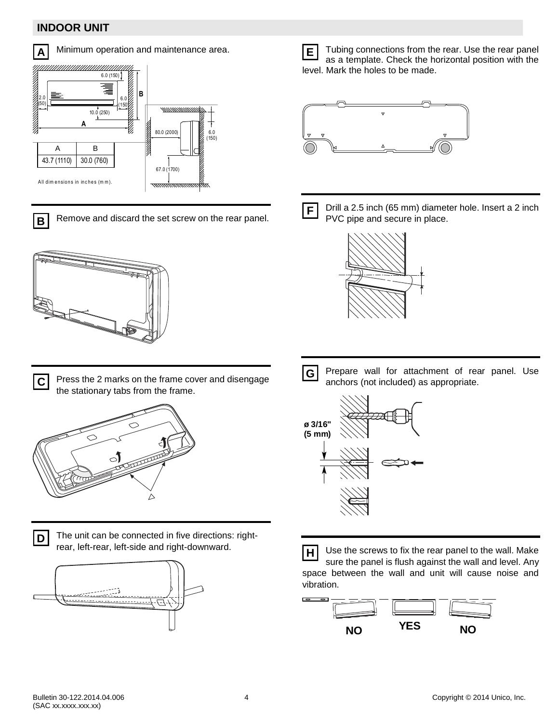## **INDOOR UNIT**



Minimum operation and maintenance area.



Remove and discard the set screw on the rear panel. **B**



Press the 2 marks on the frame cover and disengage the stationary tabs from the frame. **C**



**D**

The unit can be connected in five directions: rightrear, left-rear, left-side and right-downward.



Tubing connections from the rear. Use the rear panel as a template. Check the horizontal position with the level. Mark the holes to be made. **E**





Drill a 2.5 inch (65 mm) diameter hole. Insert a 2 inch PVC pipe and secure in place.



Prepare wall for attachment of rear panel. Use anchors (not included) as appropriate. **G**



Use the screws to fix the rear panel to the wall. Make sure the panel is flush against the wall and level. Any space between the wall and unit will cause noise and vibration. **H**

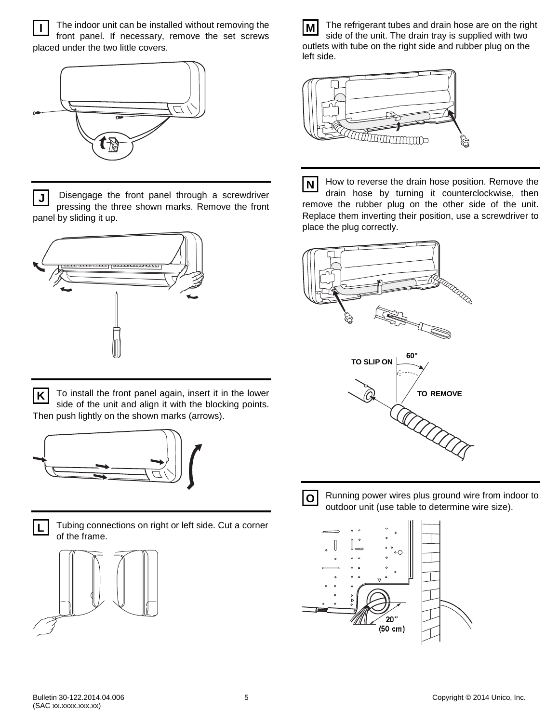The indoor unit can be installed without removing the front panel. If necessary, remove the set screws placed under the two little covers. **I**



Disengage the front panel through a screwdriver pressing the three shown marks. Remove the front panel by sliding it up. **J**



To install the front panel again, insert it in the lower side of the unit and align it with the blocking points. Then push lightly on the shown marks (arrows). **K**





Tubing connections on right or left side. Cut a corner of the frame.



The refrigerant tubes and drain hose are on the right side of the unit. The drain tray is supplied with two outlets with tube on the right side and rubber plug on the left side. **M**



How to reverse the drain hose position. Remove the drain hose by turning it counterclockwise, then remove the rubber plug on the other side of the unit. Replace them inverting their position, use a screwdriver to place the plug correctly. **N**





Running power wires plus ground wire from indoor to outdoor unit (use table to determine wire size).

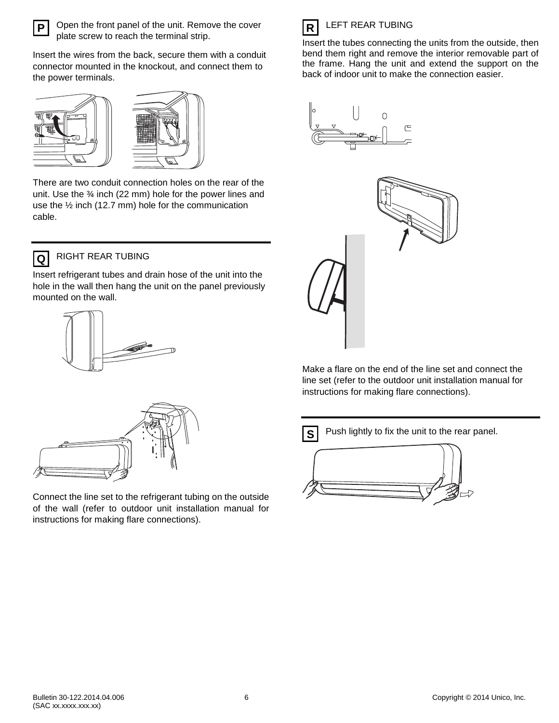

Open the front panel of the unit. Remove the cover plate screw to reach the terminal strip.

Insert the wires from the back, secure them with a conduit connector mounted in the knockout, and connect them to the power terminals.





There are two conduit connection holes on the rear of the unit. Use the ¾ inch (22 mm) hole for the power lines and use the ½ inch (12.7 mm) hole for the communication cable.



## RIGHT REAR TUBING

Insert refrigerant tubes and drain hose of the unit into the hole in the wall then hang the unit on the panel previously mounted on the wall.





Connect the line set to the refrigerant tubing on the outside of the wall (refer to outdoor unit installation manual for instructions for making flare connections).



#### Insert the tubes connecting the units from the outside, then bend them right and remove the interior removable part of the frame. Hang the unit and extend the support on the back of indoor unit to make the connection easier.





Make a flare on the end of the line set and connect the line set (refer to the outdoor unit installation manual for instructions for making flare connections).

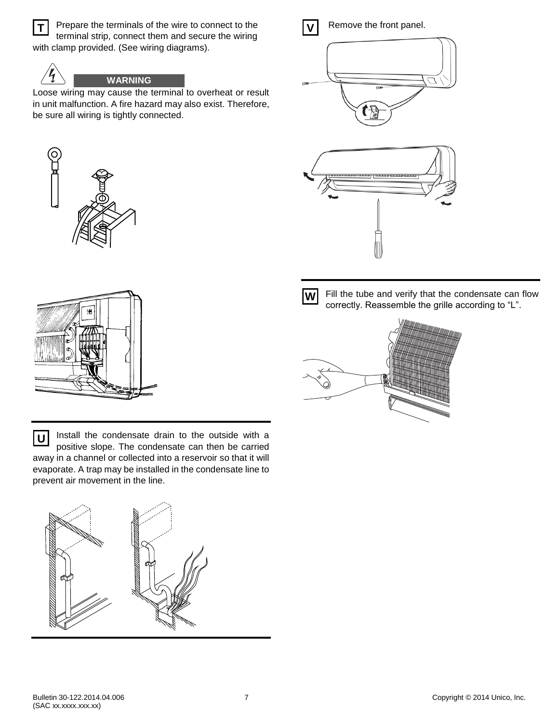

Prepare the terminals of the wire to connect to the terminal strip, connect them and secure the wiring with clamp provided. (See wiring diagrams).



## **WARNING**

Loose wiring may cause the terminal to overheat or result in unit malfunction. A fire hazard may also exist. Therefore, be sure all wiring is tightly connected.





Install the condensate drain to the outside with a positive slope. The condensate can then be carried away in a channel or collected into a reservoir so that it will evaporate. A trap may be installed in the condensate line to prevent air movement in the line. **U**





Remove the front panel.







Fill the tube and verify that the condensate can flow correctly. Reassemble the grille according to "L".

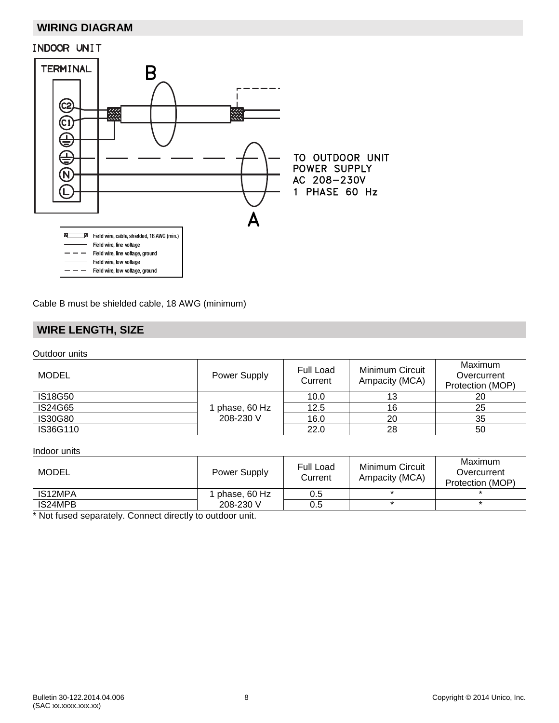## **WIRING DIAGRAM**



Cable B must be shielded cable, 18 AWG (minimum)

## **WIRE LENGTH, SIZE**

Outdoor units

| <b>MODEL</b>   | <b>Power Supply</b> | Full Load<br>Current | Minimum Circuit<br>Ampacity (MCA) | Maximum<br>Overcurrent<br>Protection (MOP) |
|----------------|---------------------|----------------------|-----------------------------------|--------------------------------------------|
| <b>IS18G50</b> |                     | 10.0                 | 13                                | 20                                         |
| <b>IS24G65</b> | phase, 60 Hz        | 12.5                 | 16                                | 25                                         |
| <b>IS30G80</b> | 208-230 V           | 16.0                 | 20                                | 35                                         |
| IS36G110       |                     | 22.0                 | 28                                | 50                                         |

#### Indoor units

| MODEL   | Power Supply | <b>Full Load</b><br>Current | Minimum Circuit<br>Ampacity (MCA) | Maximum<br>Overcurrent<br>Protection (MOP) |
|---------|--------------|-----------------------------|-----------------------------------|--------------------------------------------|
| IS12MPA | phase, 60 Hz | 0.5                         |                                   |                                            |
| IS24MPB | 208-230 V    | 0.5                         |                                   |                                            |

\* Not fused separately. Connect directly to outdoor unit.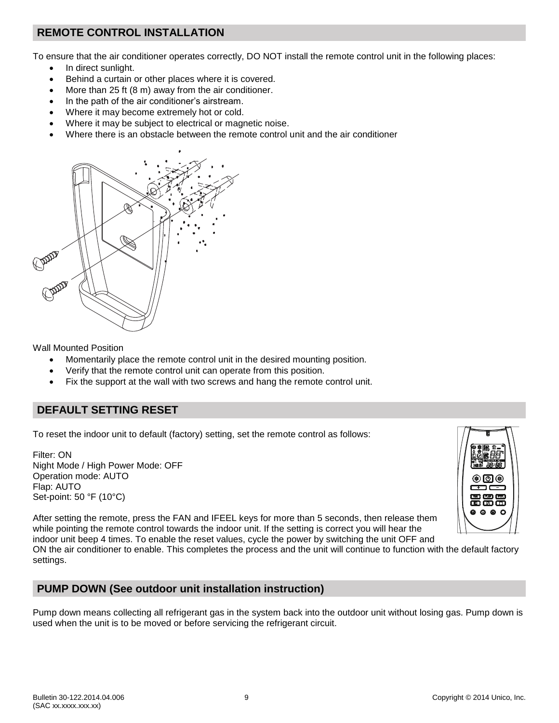## **REMOTE CONTROL INSTALLATION**

To ensure that the air conditioner operates correctly, DO NOT install the remote control unit in the following places:

- In direct sunlight.
- Behind a curtain or other places where it is covered.
- More than 25 ft (8 m) away from the air conditioner.
- In the path of the air conditioner's airstream.
- Where it may become extremely hot or cold.
- Where it may be subject to electrical or magnetic noise.
- Where there is an obstacle between the remote control unit and the air conditioner



Wall Mounted Position

- Momentarily place the remote control unit in the desired mounting position.
- Verify that the remote control unit can operate from this position.
- Fix the support at the wall with two screws and hang the remote control unit.

## **DEFAULT SETTING RESET**

To reset the indoor unit to default (factory) setting, set the remote control as follows:

Filter: ON Night Mode / High Power Mode: OFF Operation mode: AUTO Flap: AUTO Set-point: 50 °F (10°C)



After setting the remote, press the FAN and IFEEL keys for more than 5 seconds, then release them while pointing the remote control towards the indoor unit. If the setting is correct you will hear the indoor unit beep 4 times. To enable the reset values, cycle the power by switching the unit OFF and

ON the air conditioner to enable. This completes the process and the unit will continue to function with the default factory settings.

## **PUMP DOWN (See outdoor unit installation instruction)**

Pump down means collecting all refrigerant gas in the system back into the outdoor unit without losing gas. Pump down is used when the unit is to be moved or before servicing the refrigerant circuit.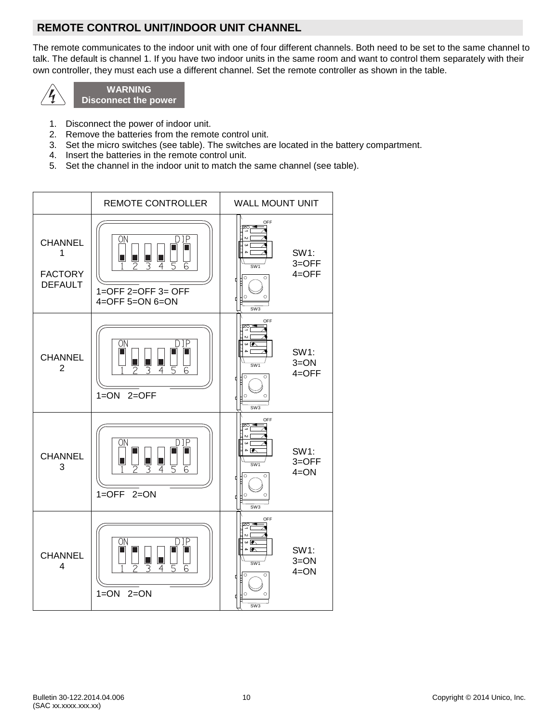## **REMOTE CONTROL UNIT/INDOOR UNIT CHANNEL**

The remote communicates to the indoor unit with one of four different channels. Both need to be set to the same channel to talk. The default is channel 1. If you have two indoor units in the same room and want to control them separately with their own controller, they must each use a different channel. Set the remote controller as shown in the table.



**WARNING Disconnect the power**

- 1. Disconnect the power of indoor unit.
- 2. Remove the batteries from the remote control unit.
- 3. Set the micro switches (see table). The switches are located in the battery compartment.
- 4. Insert the batteries in the remote control unit.
- 5. Set the channel in the indoor unit to match the same channel (see table).

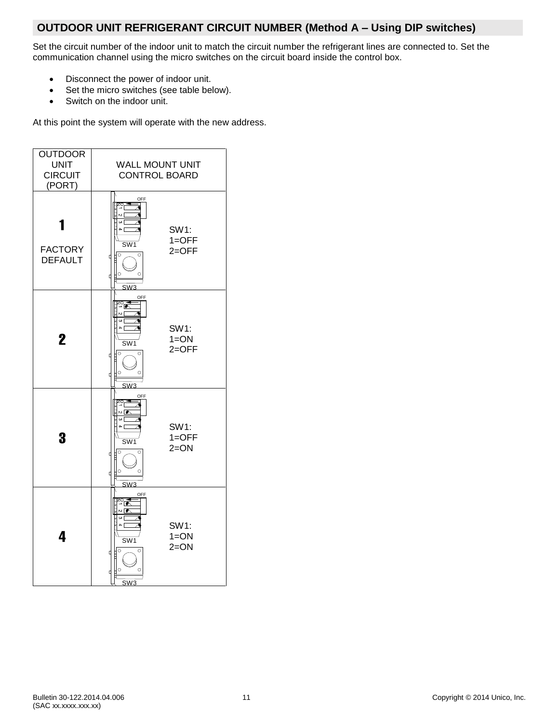## **OUTDOOR UNIT REFRIGERANT CIRCUIT NUMBER (Method A – Using DIP switches)**

Set the circuit number of the indoor unit to match the circuit number the refrigerant lines are connected to. Set the communication channel using the micro switches on the circuit board inside the control box.

- Disconnect the power of indoor unit.
- Set the micro switches (see table below).
- Switch on the indoor unit.

At this point the system will operate with the new address.

| <b>OUTDOOR</b><br><b>UNIT</b><br><b>CIRCUIT</b><br>(PORT) | <b>WALL MOUNT UNIT</b><br><b>CONTROL BOARD</b>                                                                                                                               |                             |  |
|-----------------------------------------------------------|------------------------------------------------------------------------------------------------------------------------------------------------------------------------------|-----------------------------|--|
| <b>FACTORY</b><br><b>DEFAULT</b>                          | OFF<br>ise.<br>∾[<br>] ن<br>$\overline{a}$<br>$\overline{\text{SW1}}$<br>∯੦<br>$\circ$<br>d<br>$\circ$<br>$\circ$<br>d<br>SW <sub>3</sub>                                    | SW1:<br>$1=OFF$<br>$2=OFF$  |  |
| $\mathbf 2$                                               | OFF<br>$\overline{\mathbf{z}}$<br>∾[<br>$\overline{\omega}$<br>$\overline{a}$<br>$\overline{\text{SW1}}$<br>∯ਾ<br>$\circ$<br>þ<br>$\circ$<br>$\circ$<br>d<br>SW <sub>3</sub> | SW1:<br>$1 = ON$<br>$2=OFF$ |  |
| 3                                                         | OFF<br>쪽<br>$\frac{1}{2}$<br>∏ دە<br>$\overline{a}$<br>SW <sub>1</sub><br>$\mathbb{F}$<br>$\circ$<br>d<br>$\circ$<br>$\circ$<br>₫<br>SW <sub>3</sub>                         | SW1:<br>$1=OFF$<br>$2=ON$   |  |
| 4                                                         | OFF<br>≊ृ<br>$\overline{\bullet}$<br>] د،<br>$\overline{a}$<br>SW <sub>1</sub><br>$\overline{\mathbb{F}}$<br>$\circ$<br>₫<br>$\circ$<br>$\circ$<br>₫<br>SW <sub>3</sub>      | SW1:<br>$1 = ON$<br>$2=ON$  |  |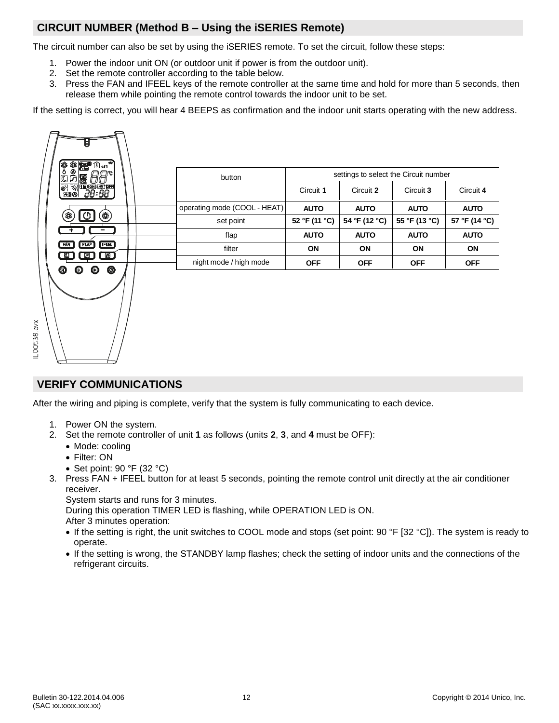## **CIRCUIT NUMBER (Method B – Using the iSERIES Remote)**

The circuit number can also be set by using the iSERIES remote. To set the circuit, follow these steps:

- 1. Power the indoor unit ON (or outdoor unit if power is from the outdoor unit).
- 2. Set the remote controller according to the table below.
- 3. Press the FAN and IFEEL keys of the remote controller at the same time and hold for more than 5 seconds, then release them while pointing the remote control towards the indoor unit to be set.

If the setting is correct, you will hear 4 BEEPS as confirmation and the indoor unit starts operating with the new address.

| 圈                                                                     | button                       |               |               | settings to select the Circuit number |               |
|-----------------------------------------------------------------------|------------------------------|---------------|---------------|---------------------------------------|---------------|
| <mark>ढ़</mark> ॸॾॣ<br>ख़<br><del>திப்பென்னை</del><br>80 <i>38:88</i> |                              | Circuit 1     | Circuit 2     | Circuit 3                             | Circuit 4     |
|                                                                       | operating mode (COOL - HEAT) | <b>AUTO</b>   | <b>AUTO</b>   | <b>AUTO</b>                           | <b>AUTO</b>   |
| (貘)<br>O<br>88                                                        | set point                    | 52 °F (11 °C) | 54 °F (12 °C) | 55 °F (13 °C)                         | 57 °F (14 °C) |
|                                                                       | flap                         | <b>AUTO</b>   | <b>AUTO</b>   | <b>AUTO</b>                           | <b>AUTO</b>   |
| [ IFEEL]<br>FLAP<br>FAN                                               | filter                       | <b>ON</b>     | <b>ON</b>     | <b>ON</b>                             | <b>ON</b>     |
| അ<br>$\boxtimes$ )                                                    | night mode / high mode       | <b>OFF</b>    | <b>OFF</b>    | <b>OFF</b>                            | <b>OFF</b>    |
| $\circledcirc$<br>❺<br>$\boldsymbol{\circ}$<br>$\boldsymbol{\omega}$  |                              |               |               |                                       |               |

## **VERIFY COMMUNICATIONS**

After the wiring and piping is complete, verify that the system is fully communicating to each device.

- 1. Power ON the system.
- 2. Set the remote controller of unit **1** as follows (units **2**, **3**, and **4** must be OFF):
	- Mode: cooling
	- Filter: ON

00538.cv

- Set point:  $90 °F$  (32 °C)
- 3. Press FAN + IFEEL button for at least 5 seconds, pointing the remote control unit directly at the air conditioner receiver.

System starts and runs for 3 minutes.

During this operation TIMER LED is flashing, while OPERATION LED is ON.

After 3 minutes operation:

- If the setting is right, the unit switches to COOL mode and stops (set point: 90 °F [32 °C]). The system is ready to operate.
- If the setting is wrong, the STANDBY lamp flashes; check the setting of indoor units and the connections of the refrigerant circuits.